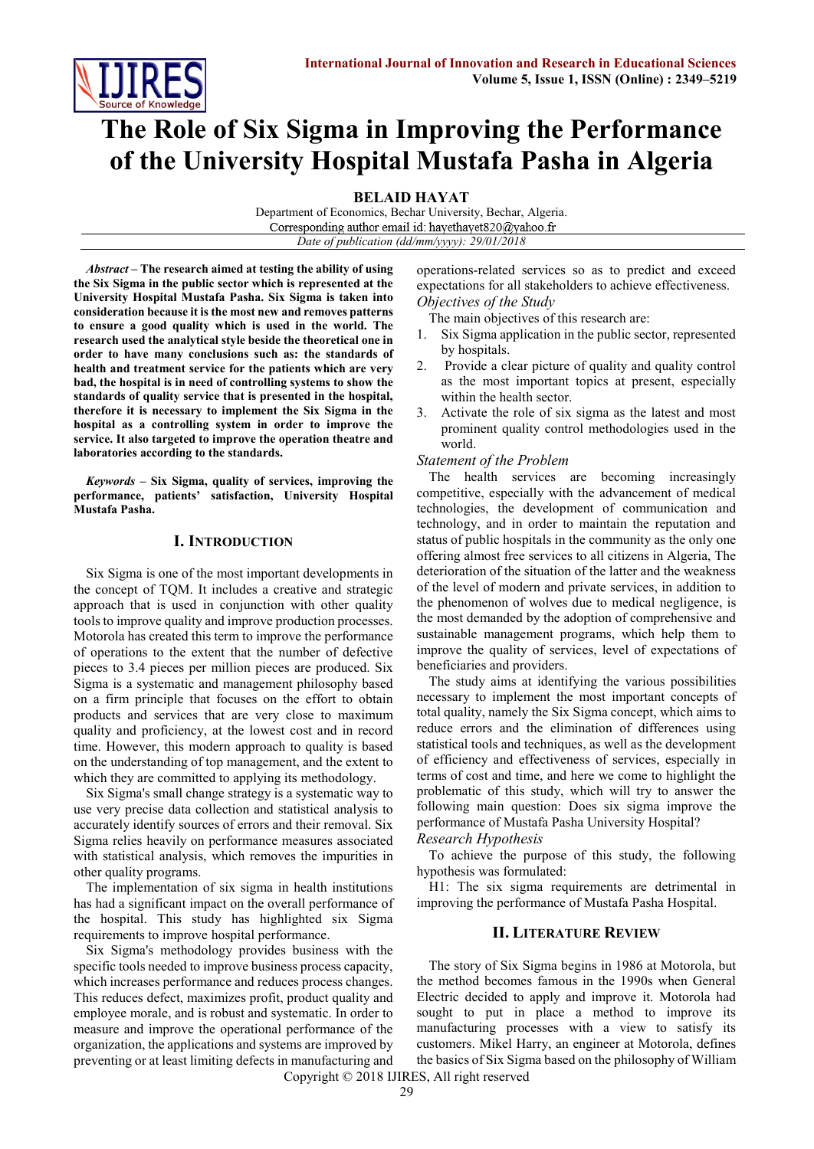

# **The Role of Six Sigma in Improving the Performance of the University Hospital Mustafa Pasha in Algeria**

**BELAID HAYAT**

Department of Economics, Bechar University, Bechar, Algeria. Corresponding author email id: hayethayet820@yahoo.fr *Date of publication (dd/mm/yyyy): 29/01/2018*

*Abstract* **– The research aimed at testing the ability of using the Six Sigma in the public sector which is represented at the University Hospital Mustafa Pasha. Six Sigma is taken into consideration because it is the most new and removes patterns to ensure a good quality which is used in the world. The research used the analytical style beside the theoretical one in order to have many conclusions such as: the standards of health and treatment service for the patients which are very bad, the hospital is in need of controlling systems to show the standards of quality service that is presented in the hospital, therefore it is necessary to implement the Six Sigma in the hospital as a controlling system in order to improve the service. It also targeted to improve the operation theatre and laboratories according to the standards.**

*Keywords* **– Six Sigma, quality of services, improving the performance, patients' satisfaction, University Hospital Mustafa Pasha.** 

#### **I. INTRODUCTION**

Six Sigma is one of the most important developments in the concept of TQM. It includes a creative and strategic approach that is used in conjunction with other quality tools to improve quality and improve production processes. Motorola has created this term to improve the performance of operations to the extent that the number of defective pieces to 3.4 pieces per million pieces are produced. Six Sigma is a systematic and management philosophy based on a firm principle that focuses on the effort to obtain products and services that are very close to maximum quality and proficiency, at the lowest cost and in record time. However, this modern approach to quality is based on the understanding of top management, and the extent to which they are committed to applying its methodology.

Six Sigma's small change strategy is a systematic way to use very precise data collection and statistical analysis to accurately identify sources of errors and their removal. Six Sigma relies heavily on performance measures associated with statistical analysis, which removes the impurities in other quality programs.

The implementation of six sigma in health institutions has had a significant impact on the overall performance of the hospital. This study has highlighted six Sigma requirements to improve hospital performance.

Six Sigma's methodology provides business with the specific tools needed to improve business process capacity, which increases performance and reduces process changes. This reduces defect, maximizes profit, product quality and employee morale, and is robust and systematic. In order to measure and improve the operational performance of the organization, the applications and systems are improved by preventing or at least limiting defects in manufacturing and

operations-related services so as to predict and exceed expectations for all stakeholders to achieve effectiveness. *Objectives of the Study*

The main objectives of this research are:

- 1. Six Sigma application in the public sector, represented by hospitals.
- 2. Provide a clear picture of quality and quality control as the most important topics at present, especially within the health sector.
- Activate the role of six sigma as the latest and most prominent quality control methodologies used in the world.

# *Statement of the Problem*

The health services are becoming increasingly competitive, especially with the advancement of medical technologies, the development of communication and technology, and in order to maintain the reputation and status of public hospitals in the community as the only one offering almost free services to all citizens in Algeria, The deterioration of the situation of the latter and the weakness of the level of modern and private services, in addition to the phenomenon of wolves due to medical negligence, is the most demanded by the adoption of comprehensive and sustainable management programs, which help them to improve the quality of services, level of expectations of beneficiaries and providers.

The study aims at identifying the various possibilities necessary to implement the most important concepts of total quality, namely the Six Sigma concept, which aims to reduce errors and the elimination of differences using statistical tools and techniques, as well as the development of efficiency and effectiveness of services, especially in terms of cost and time, and here we come to highlight the problematic of this study, which will try to answer the following main question: Does six sigma improve the performance of Mustafa Pasha University Hospital?

#### *Research Hypothesis*

To achieve the purpose of this study, the following hypothesis was formulated:

H1: The six sigma requirements are detrimental in improving the performance of Mustafa Pasha Hospital.

#### **II. LITERATURE REVIEW**

The story of Six Sigma begins in 1986 at Motorola, but the method becomes famous in the 1990s when General Electric decided to apply and improve it. Motorola had sought to put in place a method to improve its manufacturing processes with a view to satisfy its customers. Mikel Harry, an engineer at Motorola, defines the basics of Six Sigma based on the philosophy of William

Copyright © 2018 IJIRES, All right reserved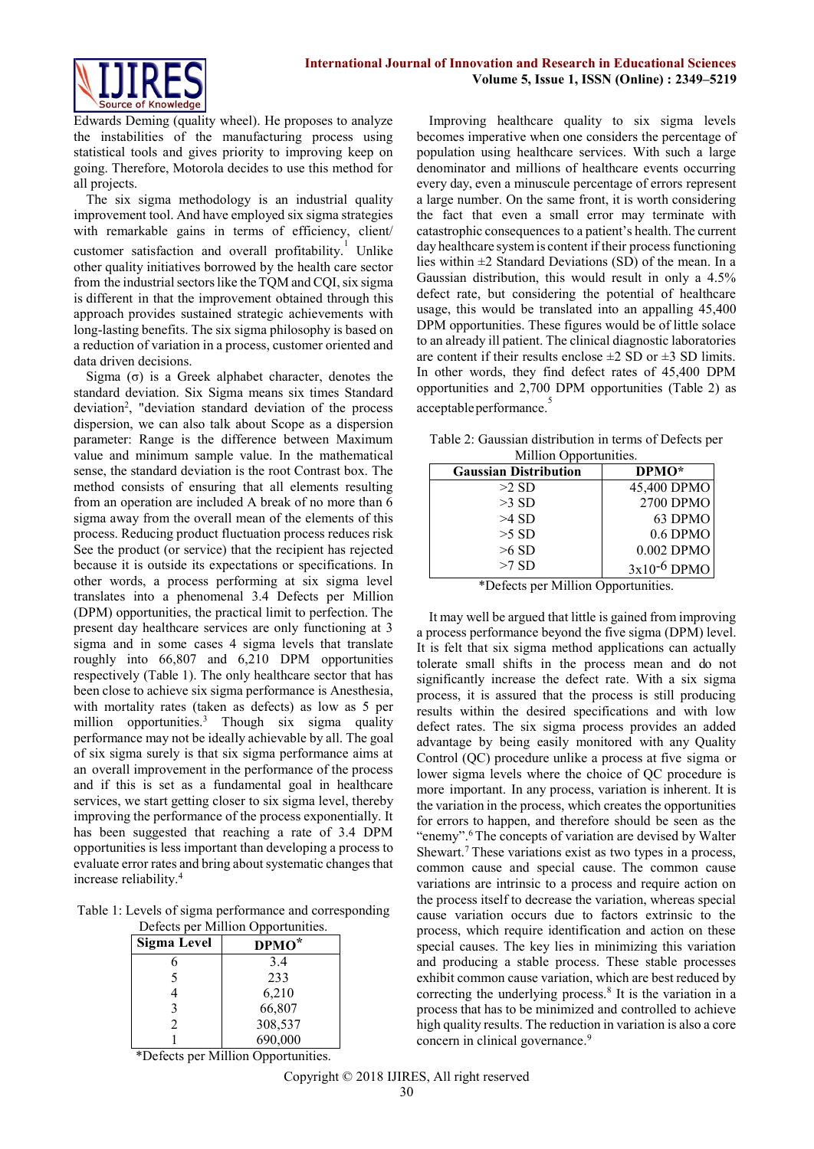

Edwards Deming (quality wheel). He proposes to analyze the instabilities of the manufacturing process using statistical tools and gives priority to improving keep on going. Therefore, Motorola decides to use this method for all projects.

The six sigma methodology is an industrial quality improvement tool. And have employed six sigma strategies with remarkable gains in terms of efficiency, client/ customer satisfaction and overall profitability.<sup>1</sup> Unlike other quality initiatives borrowed by the health care sector from the industrial sectors like the TQM and CQI, six sigma is different in that the improvement obtained through this approach provides sustained strategic achievements with long-lasting benefits. The six sigma philosophy is based on a reduction of variation in a process, customer oriented and data driven decisions.

Sigma (σ) is a Greek alphabet character, denotes the standard deviation. Six Sigma means six times Standard deviation<sup>2</sup>, "deviation standard deviation of the process dispersion, we can also talk about Scope as a dispersion parameter: Range is the difference between Maximum value and minimum sample value. In the mathematical sense, the standard deviation is the root Contrast box. The method consists of ensuring that all elements resulting from an operation are included A break of no more than 6 sigma away from the overall mean of the elements of this process. Reducing product fluctuation process reduces risk See the product (or service) that the recipient has rejected because it is outside its expectations or specifications. In other words, a process performing at six sigma level translates into a phenomenal 3.4 Defects per Million (DPM) opportunities, the practical limit to perfection. The present day healthcare services are only functioning at 3 sigma and in some cases 4 sigma levels that translate roughly into 66,807 and 6,210 DPM opportunities respectively (Table 1). The only healthcare sector that has been close to achieve six sigma performance is Anesthesia, with mortality rates (taken as defects) as low as 5 per million opportunities[.](#page-4-0)<sup>3</sup> Though six sigma quality performance may not be ideally achievable by all. The goal of six sigma surely is that six sigma performance aims at an overall improvement in the performance of the process and if this is set as a fundamental goal in healthcare services, we start getting closer to six sigma level, thereby improving the performance of the process exponentially. It has been suggested that reaching a rate of 3.4 DPM opportunities is less important than developing a process to evaluate error rates and bring about systematic changes that increase reliabilit[y.](#page-4-1)<sup>4</sup>

Table 1: Levels of sigma performance and corresponding Defects per Million Opportunities.

| Defects per <i>i</i> vilition opportunities. |                   |  |  |  |  |  |
|----------------------------------------------|-------------------|--|--|--|--|--|
| Sigma Level                                  | DPMO <sup>*</sup> |  |  |  |  |  |
| 6                                            | 3.4               |  |  |  |  |  |
| 5                                            | 233               |  |  |  |  |  |
| 4                                            | 6,210             |  |  |  |  |  |
| 3                                            | 66,807            |  |  |  |  |  |
| $\mathfrak{D}$                               | 308,537           |  |  |  |  |  |
|                                              | 690,000           |  |  |  |  |  |

\*Defects per Million Opportunities.

Improving healthcare quality to six sigma levels becomes imperative when one considers the percentage of population using healthcare services. With such a large denominator and millions of healthcare events occurring every day, even a minuscule percentage of errors represent a large number. On the same front, it is worth considering the fact that even a small error may terminate with catastrophic consequences to a patient's health. The current day healthcare system is content if their process functioning lies within  $\pm 2$  Standard Deviations (SD) of the mean. In a Gaussian distribution, this would result in only a 4.5% defect rate, but considering the potential of healthcare usage, this would be translated into an appalling 45,400 DPM opportunities. These figures would be of little solace to an already ill patient. The clinical diagnostic laboratories are content if their results enclose  $\pm 2$  SD or  $\pm 3$  SD limits. In other words, they find defect rates of 45,400 DPM opportunities and 2,700 DPM opportunities (Table 2) as acceptable performance.<sup>[5](#page-4-2)</sup>

Table 2: Gaussian distribution in terms of Defects per Million Opportunities.

| <b>MINION</b> Opportunition. |                  |  |  |  |  |  |
|------------------------------|------------------|--|--|--|--|--|
| <b>Gaussian Distribution</b> | DPMO*            |  |  |  |  |  |
| $>2$ SD                      | 45,400 DPMO      |  |  |  |  |  |
| $>3$ SD                      | 2700 DPMO        |  |  |  |  |  |
| $>4$ SD                      | 63 DPMO          |  |  |  |  |  |
| $>5$ SD                      | $0.6$ DPMO       |  |  |  |  |  |
| $>6$ SD                      | 0.002 DPMO       |  |  |  |  |  |
| $>7$ SD                      | $3x10^{-6}$ DPMO |  |  |  |  |  |
|                              |                  |  |  |  |  |  |

\*Defects per Million Opportunities.

It may well be argued that little is gained from improving a process performance beyond the five sigma (DPM) level. It is felt that six sigma method applications can actually tolerate small shifts in the process mean and do not significantly increase the defect rate. With a six sigma process, it is assured that the process is still producing results within the desired specifications and with low defect rates. The six sigma process provides an added advantage by being easily monitored with any Quality Control (QC) procedure unlike a process at five sigma or lower sigma levels where the choice of QC procedure is more important. In any process, variation is inherent. It is the variation in the process, which creates the opportunities for errors to happen, and therefore should be seen as the "enemy".<sup>[6](#page-4-3)</sup> The concepts of variation are devised by Walter Shewart.<sup>7</sup> [T](#page-4-4)hese variations exist as two types in a process, common cause and special cause. The common cause variations are intrinsic to a process and require action on the process itself to decrease the variation, whereas special cause variation occurs due to factors extrinsic to the process, which require identification and action on these special causes. The key lies in minimizing this variation and producing a stable process. These stable processes exhibit common cause variation, which are best reduced by correcting the underlying process[.](#page-4-5)<sup>8</sup> It is the variation in a process that has to be minimized and controlled to achieve high quality results. The reduction in variation is also a core concern in clinical governance.<sup>9</sup>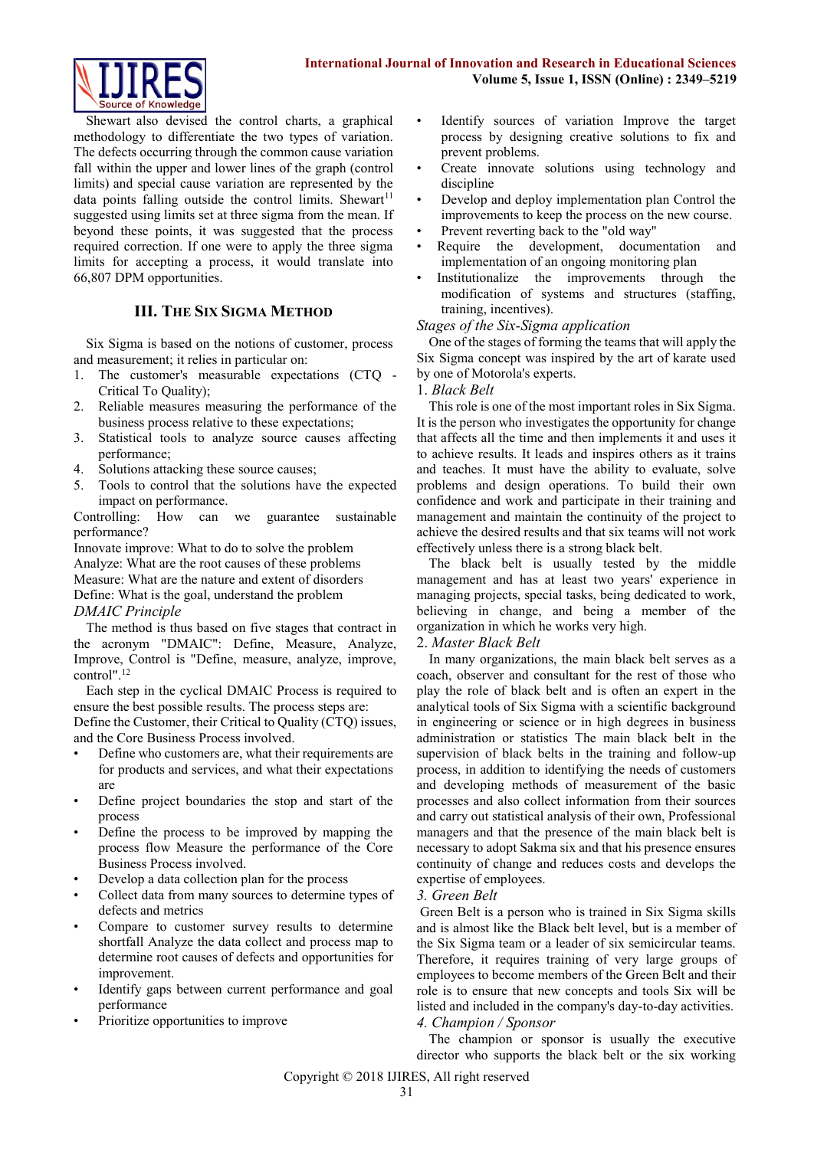

Shewart also devised the control charts, a graphical methodology to differentiate the two types of variation. The defects occurring through the common cause variation fall within the upper and lower lines of the graph (control limits) and special cause variation are represented by the data points falling outside the control limits. Shewart<sup>[11](#page-4-4)</sup> suggested using limits set at three sigma from the mean. If beyond these points, it was suggested that the process required correction. If one were to apply the three sigma limits for accepting a process, it would translate into 66,807 DPM opportunities.

# **III. THE SIX SIGMA METHOD**

Six Sigma is based on the notions of customer, process and measurement; it relies in particular on:

- 1. The customer's measurable expectations (CTQ Critical To Quality);
- 2. Reliable measures measuring the performance of the business process relative to these expectations;
- 3. Statistical tools to analyze source causes affecting performance;
- 4. Solutions attacking these source causes;
- 5. Tools to control that the solutions have the expected impact on performance.

Controlling: How can we guarantee sustainable performance?

Innovate improve: What to do to solve the problem Analyze: What are the root causes of these problems Measure: What are the nature and extent of disorders Define: What is the goal, understand the problem *DMAIC Principle*

The method is thus based on five stages that contract in the acronym "DMAIC": Define, Measure, Analyze, Improve, Control is "Define, measure, analyze, improve, control".<sup>12</sup>

Each step in the cyclical DMAIC Process is required to ensure the best possible results. The process steps are:

Define the Customer, their Critical to Quality (CTQ) issues, and the Core Business Process involved.

- Define who customers are, what their requirements are for products and services, and what their expectations are
- Define project boundaries the stop and start of the process
- Define the process to be improved by mapping the process flow Measure the performance of the Core Business Process involved.
- Develop a data collection plan for the process
- Collect data from many sources to determine types of defects and metrics
- Compare to customer survey results to determine shortfall Analyze the data collect and process map to determine root causes of defects and opportunities for improvement.
- Identify gaps between current performance and goal performance
- Prioritize opportunities to improve
- Identify sources of variation Improve the target process by designing creative solutions to fix and prevent problems.
- Create innovate solutions using technology and discipline
- Develop and deploy implementation plan Control the improvements to keep the process on the new course.
- Prevent reverting back to the "old way"
- Require the development, documentation and implementation of an ongoing monitoring plan
- Institutionalize the improvements through the modification of systems and structures (staffing, training, incentives).

#### *Stages of the Six-Sigma application*

One of the stages of forming the teams that will apply the Six Sigma concept was inspired by the art of karate used by one of Motorola's experts.

#### 1. *Black Belt*

This role is one of the most important roles in Six Sigma. It is the person who investigates the opportunity for change that affects all the time and then implements it and uses it to achieve results. It leads and inspires others as it trains and teaches. It must have the ability to evaluate, solve problems and design operations. To build their own confidence and work and participate in their training and management and maintain the continuity of the project to achieve the desired results and that six teams will not work effectively unless there is a strong black belt.

The black belt is usually tested by the middle management and has at least two years' experience in managing projects, special tasks, being dedicated to work, believing in change, and being a member of the organization in which he works very high.

#### 2. *Master Black Belt*

In many organizations, the main black belt serves as a coach, observer and consultant for the rest of those who play the role of black belt and is often an expert in the analytical tools of Six Sigma with a scientific background in engineering or science or in high degrees in business administration or statistics The main black belt in the supervision of black belts in the training and follow-up process, in addition to identifying the needs of customers and developing methods of measurement of the basic processes and also collect information from their sources and carry out statistical analysis of their own, Professional managers and that the presence of the main black belt is necessary to adopt Sakma six and that his presence ensures continuity of change and reduces costs and develops the expertise of employees.

#### *3. Green Belt*

Green Belt is a person who is trained in Six Sigma skills and is almost like the Black belt level, but is a member of the Six Sigma team or a leader of six semicircular teams. Therefore, it requires training of very large groups of employees to become members of the Green Belt and their role is to ensure that new concepts and tools Six will be listed and included in the company's day-to-day activities. *4. Champion / Sponsor*

The champion or sponsor is usually the executive director who supports the black belt or the six working

Copyright © 2018 IJIRES, All right reserved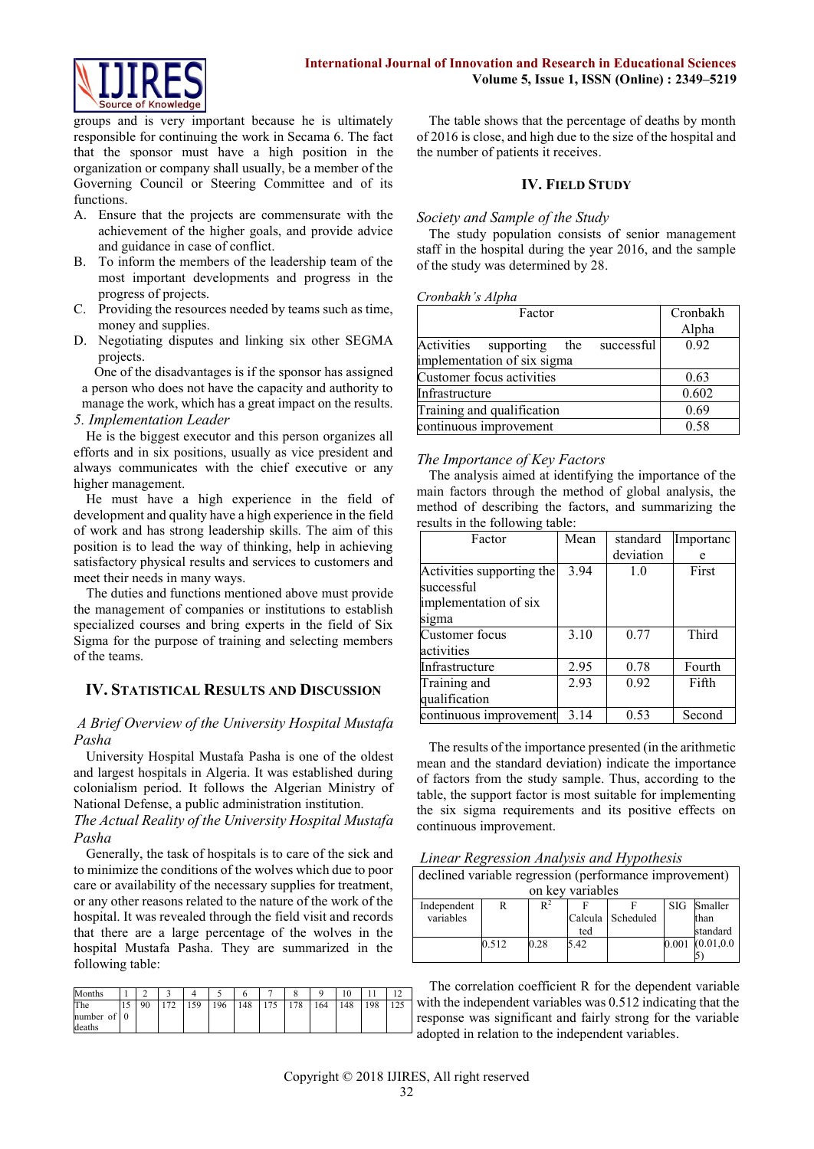groups and is very important because he is ultimately responsible for continuing the work in Secama 6. The fact that the sponsor must have a high position in the organization or company shall usually, be a member of the Governing Council or Steering Committee and of its functions.

- A. Ensure that the projects are commensurate with the achievement of the higher goals, and provide advice and guidance in case of conflict.
- B. To inform the members of the leadership team of the most important developments and progress in the progress of projects.
- C. Providing the resources needed by teams such as time, money and supplies.
- D. Negotiating disputes and linking six other SEGMA projects.

One of the disadvantages is if the sponsor has assigned a person who does not have the capacity and authority to manage the work, which has a great impact on the results.

*5. Implementation Leader*

He is the biggest executor and this person organizes all efforts and in six positions, usually as vice president and always communicates with the chief executive or any higher management.

He must have a high experience in the field of development and quality have a high experience in the field of work and has strong leadership skills. The aim of this position is to lead the way of thinking, help in achieving satisfactory physical results and services to customers and meet their needs in many ways.

The duties and functions mentioned above must provide the management of companies or institutions to establish specialized courses and bring experts in the field of Six Sigma for the purpose of training and selecting members of the teams.

# **IV. STATISTICAL RESULTS AND DISCUSSION**

# *A Brief Overview of the University Hospital Mustafa Pasha*

University Hospital Mustafa Pasha is one of the oldest and largest hospitals in Algeria. It was established during colonialism period. It follows the Algerian Ministry of National Defense, a public administration institution.

*The Actual Reality of the University Hospital Mustafa Pasha*

Generally, the task of hospitals is to care of the sick and to minimize the conditions of the wolves which due to poor care or availability of the necessary supplies for treatment, or any other reasons related to the nature of the work of the hospital. It was revealed through the field visit and records that there are a large percentage of the wolves in the hospital Mustafa Pasha. They are summarized in the following table:

| Months                       |                       |        |     |     |    |    |    |     | .v |     |  |
|------------------------------|-----------------------|--------|-----|-----|----|----|----|-----|----|-----|--|
| The<br>number of 0<br>deaths | $\Omega$<br><b>20</b> | $\sim$ | 159 | 196 | 48 | 75 | 78 | 164 | 48 | 109 |  |

The table shows that the percentage of deaths by month of 2016 is close, and high due to the size of the hospital and the number of patients it receives.

## **IV. FIELD STUDY**

## *Society and Sample of the Study*

The study population consists of senior management staff in the hospital during the year 2016, and the sample of the study was determined by 28.

#### *Cronbakh's Alpha*

| $\sim$                                     |          |  |  |
|--------------------------------------------|----------|--|--|
| Factor                                     | Cronbakh |  |  |
|                                            | Alpha    |  |  |
| Activities supporting<br>successful<br>the | 0.92     |  |  |
| implementation of six sigma                |          |  |  |
| Customer focus activities                  | 0.63     |  |  |
| Infrastructure                             | 0.602    |  |  |
| Training and qualification                 | 0.69     |  |  |
| continuous improvement                     | 0.58     |  |  |

# *The Importance of Key Factors*

The analysis aimed at identifying the importance of the main factors through the method of global analysis, the method of describing the factors, and summarizing the results in the following table:

| Factor                                  | Mean | standard  | Importanc |  |
|-----------------------------------------|------|-----------|-----------|--|
|                                         |      | deviation | e         |  |
| Activities supporting the<br>successful | 3.94 | 1.0       | First     |  |
| implementation of six<br>sigma          |      |           |           |  |
| Customer focus                          | 3.10 | 0.77      | Third     |  |
| activities                              |      |           |           |  |
| Infrastructure                          | 2.95 | 0.78      | Fourth    |  |
| Training and                            | 2.93 | 0.92      | Fifth     |  |
| qualification                           |      |           |           |  |
| continuous improvement                  | 3.14 | 0.53      | Second    |  |

The results of the importance presented (in the arithmetic mean and the standard deviation) indicate the importance of factors from the study sample. Thus, according to the table, the support factor is most suitable for implementing the six sigma requirements and its positive effects on continuous improvement.

| declined variable regression (performance improvement) |       |       |      |                     |            |             |  |  |
|--------------------------------------------------------|-------|-------|------|---------------------|------------|-------------|--|--|
| on key variables                                       |       |       |      |                     |            |             |  |  |
| Independent                                            | R     | $R^2$ |      |                     | <b>SIG</b> | Smaller     |  |  |
| variables                                              |       |       |      | Calcula   Scheduled |            | than        |  |  |
|                                                        |       |       | ted  |                     |            | standard    |  |  |
|                                                        | 0.512 | 0.28  | 5.42 |                     | 0.001      | (0.01, 0.0) |  |  |
|                                                        |       |       |      |                     |            |             |  |  |

The correlation coefficient R for the dependent variable with the independent variables was 0.512 indicating that the response was significant and fairly strong for the variable adopted in relation to the independent variables.